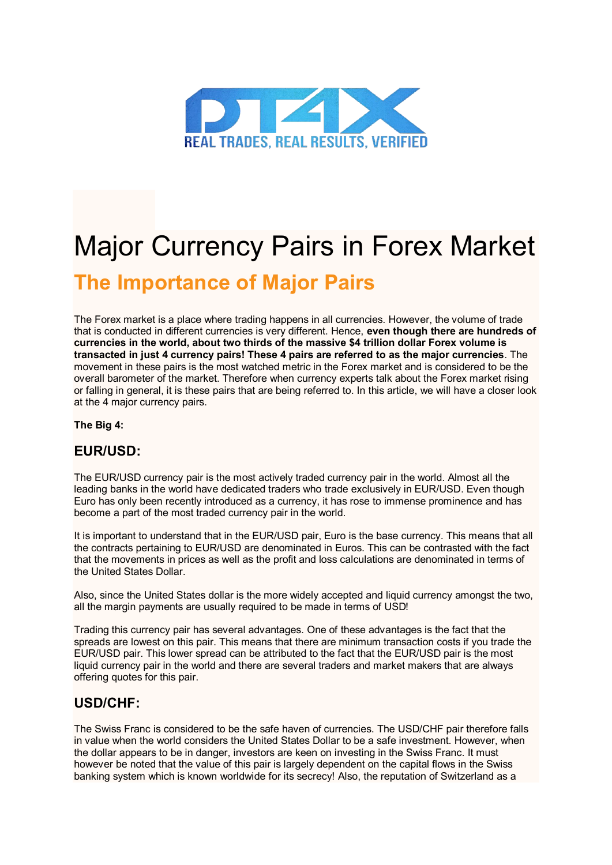

# Major Currency Pairs in Forex Market

## **The Importance of Major Pairs**

The Forex market is a place where trading happens in all currencies. However, the volume of trade that is conducted in different currencies is very different. Hence, **even though there are hundreds of currencies in the world, about two thirds of the massive \$4 trillion dollar Forex volume is transacted in just 4 currency pairs! These 4 pairs are referred to as the major currencies**. The movement in these pairs is the most watched metric in the Forex market and is considered to be the overall barometer of the market. Therefore when currency experts talk about the Forex market rising or falling in general, it is these pairs that are being referred to. In this article, we will have a closer look at the 4 major currency pairs.

#### **The Big 4:**

#### **EUR/USD:**

The EUR/USD currency pair is the most actively traded currency pair in the world. Almost all the leading banks in the world have dedicated traders who trade exclusively in EUR/USD. Even though Euro has only been recently introduced as a currency, it has rose to immense prominence and has become a part of the most traded currency pair in the world.

It is important to understand that in the EUR/USD pair, Euro is the base currency. This means that all the contracts pertaining to EUR/USD are denominated in Euros. This can be contrasted with the fact that the movements in prices as well as the profit and loss calculations are denominated in terms of the United States Dollar.

Also, since the United States dollar is the more widely accepted and liquid currency amongst the two, all the margin payments are usually required to be made in terms of USD!

Trading this currency pair has several advantages. One of these advantages is the fact that the spreads are lowest on this pair. This means that there are minimum transaction costs if you trade the EUR/USD pair. This lower spread can be attributed to the fact that the EUR/USD pair is the most liquid currency pair in the world and there are several traders and market makers that are always offering quotes for this pair.

### **USD/CHF:**

The Swiss Franc is considered to be the safe haven of currencies. The USD/CHF pair therefore falls in value when the world considers the United States Dollar to be a safe investment. However, when the dollar appears to be in danger, investors are keen on investing in the Swiss Franc. It must however be noted that the value of this pair is largely dependent on the capital flows in the Swiss banking system which is known worldwide for its secrecy! Also, the reputation of Switzerland as a